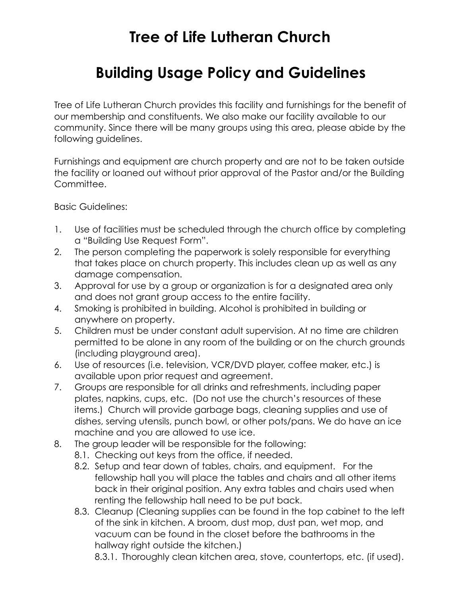## **Tree of Life Lutheran Church**

## **Building Usage Policy and Guidelines**

Tree of Life Lutheran Church provides this facility and furnishings for the benefit of our membership and constituents. We also make our facility available to our community. Since there will be many groups using this area, please abide by the following guidelines.

Furnishings and equipment are church property and are not to be taken outside the facility or loaned out without prior approval of the Pastor and/or the Building Committee.

Basic Guidelines:

- 1. Use of facilities must be scheduled through the church office by completing a "Building Use Request Form".
- 2. The person completing the paperwork is solely responsible for everything that takes place on church property. This includes clean up as well as any damage compensation.
- 3. Approval for use by a group or organization is for a designated area only and does not grant group access to the entire facility.
- 4. Smoking is prohibited in building. Alcohol is prohibited in building or anywhere on property.
- 5. Children must be under constant adult supervision. At no time are children permitted to be alone in any room of the building or on the church grounds (including playground area).
- 6. Use of resources (i.e. television, VCR/DVD player, coffee maker, etc.) is available upon prior request and agreement.
- 7. Groups are responsible for all drinks and refreshments, including paper plates, napkins, cups, etc. (Do not use the church's resources of these items.) Church will provide garbage bags, cleaning supplies and use of dishes, serving utensils, punch bowl, or other pots/pans. We do have an ice machine and you are allowed to use ice.
- 8. The group leader will be responsible for the following:
	- 8.1. Checking out keys from the office, if needed.
	- 8.2. Setup and tear down of tables, chairs, and equipment. For the fellowship hall you will place the tables and chairs and all other items back in their original position. Any extra tables and chairs used when renting the fellowship hall need to be put back.
	- 8.3. Cleanup (Cleaning supplies can be found in the top cabinet to the left of the sink in kitchen. A broom, dust mop, dust pan, wet mop, and vacuum can be found in the closet before the bathrooms in the hallway right outside the kitchen.)

8.3.1. Thoroughly clean kitchen area, stove, countertops, etc. (if used).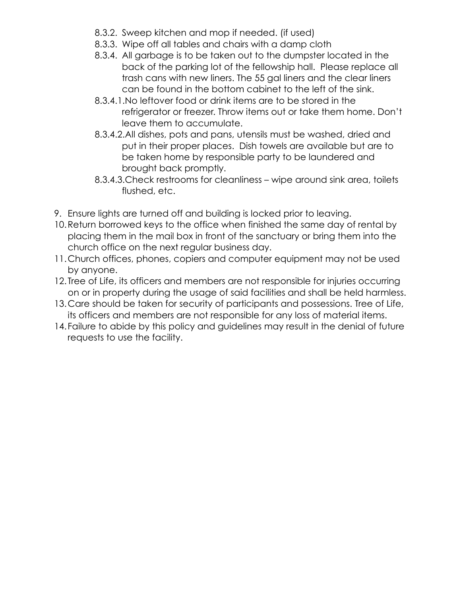- 8.3.2. Sweep kitchen and mop if needed. (if used)
- 8.3.3. Wipe off all tables and chairs with a damp cloth
- 8.3.4. All garbage is to be taken out to the dumpster located in the back of the parking lot of the fellowship hall. Please replace all trash cans with new liners. The 55 gal liners and the clear liners can be found in the bottom cabinet to the left of the sink.
- 8.3.4.1.No leftover food or drink items are to be stored in the refrigerator or freezer. Throw items out or take them home. Don't leave them to accumulate.
- 8.3.4.2.All dishes, pots and pans, utensils must be washed, dried and put in their proper places. Dish towels are available but are to be taken home by responsible party to be laundered and brought back promptly.
- 8.3.4.3.Check restrooms for cleanliness wipe around sink area, toilets flushed, etc.
- 9. Ensure lights are turned off and building is locked prior to leaving.
- 10.Return borrowed keys to the office when finished the same day of rental by placing them in the mail box in front of the sanctuary or bring them into the church office on the next regular business day.
- 11.Church offices, phones, copiers and computer equipment may not be used by anyone.
- 12. Tree of Life, its officers and members are not responsible for injuries occurring on or in property during the usage of said facilities and shall be held harmless.
- 13.Care should be taken for security of participants and possessions. Tree of Life, its officers and members are not responsible for any loss of material items.
- 14.Failure to abide by this policy and guidelines may result in the denial of future requests to use the facility.